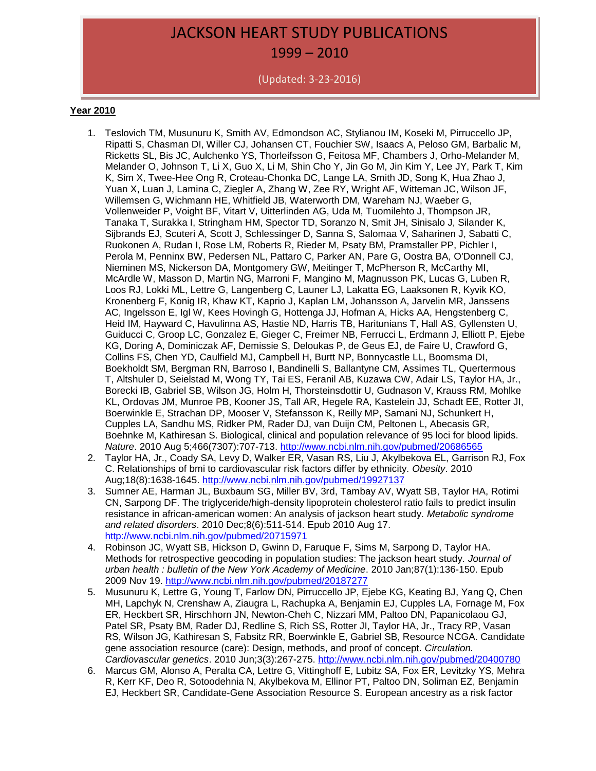(Updated: 3-23-2016)

- 1. Teslovich TM, Musunuru K, Smith AV, Edmondson AC, Stylianou IM, Koseki M, Pirruccello JP, Ripatti S, Chasman DI, Willer CJ, Johansen CT, Fouchier SW, Isaacs A, Peloso GM, Barbalic M, Ricketts SL, Bis JC, Aulchenko YS, Thorleifsson G, Feitosa MF, Chambers J, Orho-Melander M, Melander O, Johnson T, Li X, Guo X, Li M, Shin Cho Y, Jin Go M, Jin Kim Y, Lee JY, Park T, Kim K, Sim X, Twee-Hee Ong R, Croteau-Chonka DC, Lange LA, Smith JD, Song K, Hua Zhao J, Yuan X, Luan J, Lamina C, Ziegler A, Zhang W, Zee RY, Wright AF, Witteman JC, Wilson JF, Willemsen G, Wichmann HE, Whitfield JB, Waterworth DM, Wareham NJ, Waeber G, Vollenweider P, Voight BF, Vitart V, Uitterlinden AG, Uda M, Tuomilehto J, Thompson JR, Tanaka T, Surakka I, Stringham HM, Spector TD, Soranzo N, Smit JH, Sinisalo J, Silander K, Sijbrands EJ, Scuteri A, Scott J, Schlessinger D, Sanna S, Salomaa V, Saharinen J, Sabatti C, Ruokonen A, Rudan I, Rose LM, Roberts R, Rieder M, Psaty BM, Pramstaller PP, Pichler I, Perola M, Penninx BW, Pedersen NL, Pattaro C, Parker AN, Pare G, Oostra BA, O'Donnell CJ, Nieminen MS, Nickerson DA, Montgomery GW, Meitinger T, McPherson R, McCarthy MI, McArdle W, Masson D, Martin NG, Marroni F, Mangino M, Magnusson PK, Lucas G, Luben R, Loos RJ, Lokki ML, Lettre G, Langenberg C, Launer LJ, Lakatta EG, Laaksonen R, Kyvik KO, Kronenberg F, Konig IR, Khaw KT, Kaprio J, Kaplan LM, Johansson A, Jarvelin MR, Janssens AC, Ingelsson E, Igl W, Kees Hovingh G, Hottenga JJ, Hofman A, Hicks AA, Hengstenberg C, Heid IM, Hayward C, Havulinna AS, Hastie ND, Harris TB, Haritunians T, Hall AS, Gyllensten U, Guiducci C, Groop LC, Gonzalez E, Gieger C, Freimer NB, Ferrucci L, Erdmann J, Elliott P, Ejebe KG, Doring A, Dominiczak AF, Demissie S, Deloukas P, de Geus EJ, de Faire U, Crawford G, Collins FS, Chen YD, Caulfield MJ, Campbell H, Burtt NP, Bonnycastle LL, Boomsma DI, Boekholdt SM, Bergman RN, Barroso I, Bandinelli S, Ballantyne CM, Assimes TL, Quertermous T, Altshuler D, Seielstad M, Wong TY, Tai ES, Feranil AB, Kuzawa CW, Adair LS, Taylor HA, Jr., Borecki IB, Gabriel SB, Wilson JG, Holm H, Thorsteinsdottir U, Gudnason V, Krauss RM, Mohlke KL, Ordovas JM, Munroe PB, Kooner JS, Tall AR, Hegele RA, Kastelein JJ, Schadt EE, Rotter JI, Boerwinkle E, Strachan DP, Mooser V, Stefansson K, Reilly MP, Samani NJ, Schunkert H, Cupples LA, Sandhu MS, Ridker PM, Rader DJ, van Duijn CM, Peltonen L, Abecasis GR, Boehnke M, Kathiresan S. Biological, clinical and population relevance of 95 loci for blood lipids. *Nature*. 2010 Aug 5;466(7307):707-713.<http://www.ncbi.nlm.nih.gov/pubmed/20686565>
- 2. Taylor HA, Jr., Coady SA, Levy D, Walker ER, Vasan RS, Liu J, Akylbekova EL, Garrison RJ, Fox C. Relationships of bmi to cardiovascular risk factors differ by ethnicity. *Obesity*. 2010 Aug;18(8):1638-1645.<http://www.ncbi.nlm.nih.gov/pubmed/19927137>
- 3. Sumner AE, Harman JL, Buxbaum SG, Miller BV, 3rd, Tambay AV, Wyatt SB, Taylor HA, Rotimi CN, Sarpong DF. The triglyceride/high-density lipoprotein cholesterol ratio fails to predict insulin resistance in african-american women: An analysis of jackson heart study. *Metabolic syndrome and related disorders*. 2010 Dec;8(6):511-514. Epub 2010 Aug 17. <http://www.ncbi.nlm.nih.gov/pubmed/20715971>
- 4. Robinson JC, Wyatt SB, Hickson D, Gwinn D, Faruque F, Sims M, Sarpong D, Taylor HA. Methods for retrospective geocoding in population studies: The jackson heart study. *Journal of urban health : bulletin of the New York Academy of Medicine*. 2010 Jan;87(1):136-150. Epub 2009 Nov 19.<http://www.ncbi.nlm.nih.gov/pubmed/20187277>
- 5. Musunuru K, Lettre G, Young T, Farlow DN, Pirruccello JP, Ejebe KG, Keating BJ, Yang Q, Chen MH, Lapchyk N, Crenshaw A, Ziaugra L, Rachupka A, Benjamin EJ, Cupples LA, Fornage M, Fox ER, Heckbert SR, Hirschhorn JN, Newton-Cheh C, Nizzari MM, Paltoo DN, Papanicolaou GJ, Patel SR, Psaty BM, Rader DJ, Redline S, Rich SS, Rotter JI, Taylor HA, Jr., Tracy RP, Vasan RS, Wilson JG, Kathiresan S, Fabsitz RR, Boerwinkle E, Gabriel SB, Resource NCGA. Candidate gene association resource (care): Design, methods, and proof of concept. *Circulation. Cardiovascular genetics*. 2010 Jun;3(3):267-275.<http://www.ncbi.nlm.nih.gov/pubmed/20400780>
- 6. Marcus GM, Alonso A, Peralta CA, Lettre G, Vittinghoff E, Lubitz SA, Fox ER, Levitzky YS, Mehra R, Kerr KF, Deo R, Sotoodehnia N, Akylbekova M, Ellinor PT, Paltoo DN, Soliman EZ, Benjamin EJ, Heckbert SR, Candidate-Gene Association Resource S. European ancestry as a risk factor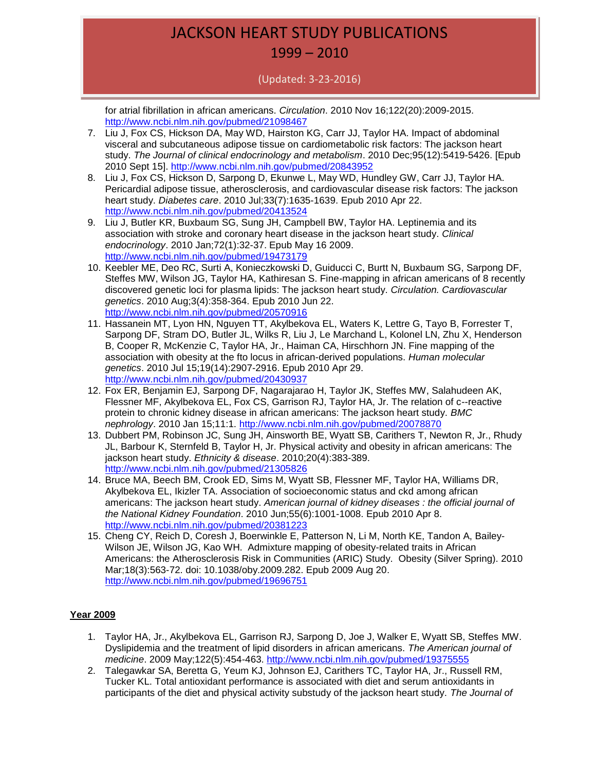(Updated: 3-23-2016)

for atrial fibrillation in african americans. *Circulation*. 2010 Nov 16;122(20):2009-2015. <http://www.ncbi.nlm.nih.gov/pubmed/21098467>

- 7. Liu J, Fox CS, Hickson DA, May WD, Hairston KG, Carr JJ, Taylor HA. Impact of abdominal visceral and subcutaneous adipose tissue on cardiometabolic risk factors: The jackson heart study. *The Journal of clinical endocrinology and metabolism*. 2010 Dec;95(12):5419-5426. [Epub 2010 Sept 15].<http://www.ncbi.nlm.nih.gov/pubmed/20843952>
- 8. Liu J, Fox CS, Hickson D, Sarpong D, Ekunwe L, May WD, Hundley GW, Carr JJ, Taylor HA. Pericardial adipose tissue, atherosclerosis, and cardiovascular disease risk factors: The jackson heart study. *Diabetes care*. 2010 Jul;33(7):1635-1639. Epub 2010 Apr 22. <http://www.ncbi.nlm.nih.gov/pubmed/20413524>
- 9. Liu J, Butler KR, Buxbaum SG, Sung JH, Campbell BW, Taylor HA. Leptinemia and its association with stroke and coronary heart disease in the jackson heart study. *Clinical endocrinology*. 2010 Jan;72(1):32-37. Epub May 16 2009. <http://www.ncbi.nlm.nih.gov/pubmed/19473179>
- 10. Keebler ME, Deo RC, Surti A, Konieczkowski D, Guiducci C, Burtt N, Buxbaum SG, Sarpong DF, Steffes MW, Wilson JG, Taylor HA, Kathiresan S. Fine-mapping in african americans of 8 recently discovered genetic loci for plasma lipids: The jackson heart study. *Circulation. Cardiovascular genetics*. 2010 Aug;3(4):358-364. Epub 2010 Jun 22. <http://www.ncbi.nlm.nih.gov/pubmed/20570916>
- 11. Hassanein MT, Lyon HN, Nguyen TT, Akylbekova EL, Waters K, Lettre G, Tayo B, Forrester T, Sarpong DF, Stram DO, Butler JL, Wilks R, Liu J, Le Marchand L, Kolonel LN, Zhu X, Henderson B, Cooper R, McKenzie C, Taylor HA, Jr., Haiman CA, Hirschhorn JN. Fine mapping of the association with obesity at the fto locus in african-derived populations. *Human molecular genetics*. 2010 Jul 15;19(14):2907-2916. Epub 2010 Apr 29. <http://www.ncbi.nlm.nih.gov/pubmed/20430937>
- 12. Fox ER, Benjamin EJ, Sarpong DF, Nagarajarao H, Taylor JK, Steffes MW, Salahudeen AK, Flessner MF, Akylbekova EL, Fox CS, Garrison RJ, Taylor HA, Jr. The relation of c--reactive protein to chronic kidney disease in african americans: The jackson heart study. *BMC nephrology*. 2010 Jan 15;11:1.<http://www.ncbi.nlm.nih.gov/pubmed/20078870>
- 13. Dubbert PM, Robinson JC, Sung JH, Ainsworth BE, Wyatt SB, Carithers T, Newton R, Jr., Rhudy JL, Barbour K, Sternfeld B, Taylor H, Jr. Physical activity and obesity in african americans: The jackson heart study. *Ethnicity & disease*. 2010;20(4):383-389. <http://www.ncbi.nlm.nih.gov/pubmed/21305826>
- 14. Bruce MA, Beech BM, Crook ED, Sims M, Wyatt SB, Flessner MF, Taylor HA, Williams DR, Akylbekova EL, Ikizler TA. Association of socioeconomic status and ckd among african americans: The jackson heart study. *American journal of kidney diseases : the official journal of the National Kidney Foundation*. 2010 Jun;55(6):1001-1008. Epub 2010 Apr 8. <http://www.ncbi.nlm.nih.gov/pubmed/20381223>
- 15. Cheng CY, Reich D, Coresh J, Boerwinkle E, Patterson N, Li M, North KE, Tandon A, Bailey-Wilson JE, Wilson JG, Kao WH. Admixture mapping of obesity-related traits in African Americans: the Atherosclerosis Risk in Communities (ARIC) Study. Obesity (Silver Spring). 2010 Mar;18(3):563-72. doi: 10.1038/oby.2009.282. Epub 2009 Aug 20. <http://www.ncbi.nlm.nih.gov/pubmed/19696751>

- 1. Taylor HA, Jr., Akylbekova EL, Garrison RJ, Sarpong D, Joe J, Walker E, Wyatt SB, Steffes MW. Dyslipidemia and the treatment of lipid disorders in african americans. *The American journal of medicine*. 2009 May;122(5):454-463.<http://www.ncbi.nlm.nih.gov/pubmed/19375555>
- 2. Talegawkar SA, Beretta G, Yeum KJ, Johnson EJ, Carithers TC, Taylor HA, Jr., Russell RM, Tucker KL. Total antioxidant performance is associated with diet and serum antioxidants in participants of the diet and physical activity substudy of the jackson heart study. *The Journal of*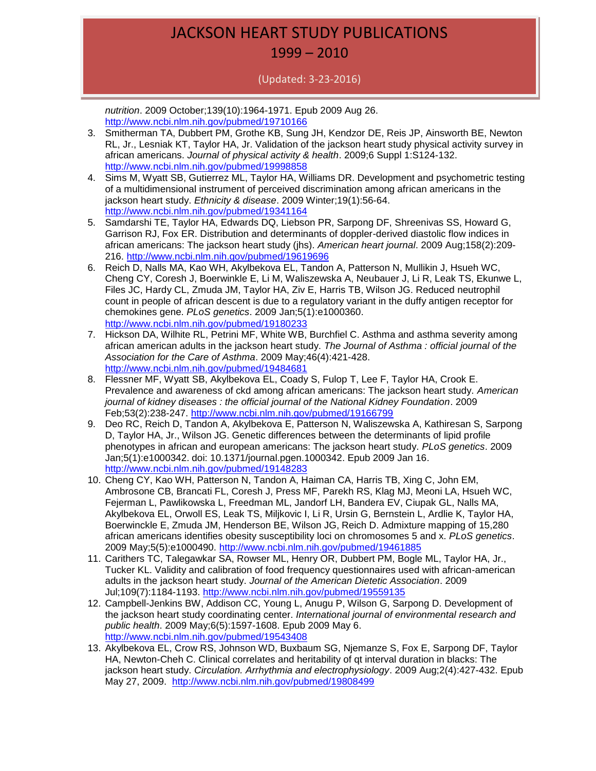(Updated: 3-23-2016)

*nutrition*. 2009 October;139(10):1964-1971. Epub 2009 Aug 26. <http://www.ncbi.nlm.nih.gov/pubmed/19710166>

- 3. Smitherman TA, Dubbert PM, Grothe KB, Sung JH, Kendzor DE, Reis JP, Ainsworth BE, Newton RL, Jr., Lesniak KT, Taylor HA, Jr. Validation of the jackson heart study physical activity survey in african americans. *Journal of physical activity & health*. 2009;6 Suppl 1:S124-132. <http://www.ncbi.nlm.nih.gov/pubmed/19998858>
- 4. Sims M, Wyatt SB, Gutierrez ML, Taylor HA, Williams DR. Development and psychometric testing of a multidimensional instrument of perceived discrimination among african americans in the jackson heart study. *Ethnicity & disease*. 2009 Winter;19(1):56-64. <http://www.ncbi.nlm.nih.gov/pubmed/19341164>
- 5. Samdarshi TE, Taylor HA, Edwards DQ, Liebson PR, Sarpong DF, Shreenivas SS, Howard G, Garrison RJ, Fox ER. Distribution and determinants of doppler-derived diastolic flow indices in african americans: The jackson heart study (jhs). *American heart journal*. 2009 Aug;158(2):209- 216.<http://www.ncbi.nlm.nih.gov/pubmed/19619696>
- 6. Reich D, Nalls MA, Kao WH, Akylbekova EL, Tandon A, Patterson N, Mullikin J, Hsueh WC, Cheng CY, Coresh J, Boerwinkle E, Li M, Waliszewska A, Neubauer J, Li R, Leak TS, Ekunwe L, Files JC, Hardy CL, Zmuda JM, Taylor HA, Ziv E, Harris TB, Wilson JG. Reduced neutrophil count in people of african descent is due to a regulatory variant in the duffy antigen receptor for chemokines gene. *PLoS genetics*. 2009 Jan;5(1):e1000360. <http://www.ncbi.nlm.nih.gov/pubmed/19180233>
- 7. Hickson DA, Wilhite RL, Petrini MF, White WB, Burchfiel C. Asthma and asthma severity among african american adults in the jackson heart study. *The Journal of Asthma : official journal of the Association for the Care of Asthma*. 2009 May;46(4):421-428. <http://www.ncbi.nlm.nih.gov/pubmed/19484681>
- 8. Flessner MF, Wyatt SB, Akylbekova EL, Coady S, Fulop T, Lee F, Taylor HA, Crook E. Prevalence and awareness of ckd among african americans: The jackson heart study. *American journal of kidney diseases : the official journal of the National Kidney Foundation*. 2009 Feb;53(2):238-247.<http://www.ncbi.nlm.nih.gov/pubmed/19166799>
- 9. Deo RC, Reich D, Tandon A, Akylbekova E, Patterson N, Waliszewska A, Kathiresan S, Sarpong D, Taylor HA, Jr., Wilson JG. Genetic differences between the determinants of lipid profile phenotypes in african and european americans: The jackson heart study. *PLoS genetics*. 2009 Jan;5(1):e1000342. doi: 10.1371/journal.pgen.1000342. Epub 2009 Jan 16. <http://www.ncbi.nlm.nih.gov/pubmed/19148283>
- 10. Cheng CY, Kao WH, Patterson N, Tandon A, Haiman CA, Harris TB, Xing C, John EM, Ambrosone CB, Brancati FL, Coresh J, Press MF, Parekh RS, Klag MJ, Meoni LA, Hsueh WC, Fejerman L, Pawlikowska L, Freedman ML, Jandorf LH, Bandera EV, Ciupak GL, Nalls MA, Akylbekova EL, Orwoll ES, Leak TS, Miljkovic I, Li R, Ursin G, Bernstein L, Ardlie K, Taylor HA, Boerwinckle E, Zmuda JM, Henderson BE, Wilson JG, Reich D. Admixture mapping of 15,280 african americans identifies obesity susceptibility loci on chromosomes 5 and x. *PLoS genetics*. 2009 May;5(5):e1000490.<http://www.ncbi.nlm.nih.gov/pubmed/19461885>
- 11. Carithers TC, Talegawkar SA, Rowser ML, Henry OR, Dubbert PM, Bogle ML, Taylor HA, Jr., Tucker KL. Validity and calibration of food frequency questionnaires used with african-american adults in the jackson heart study. *Journal of the American Dietetic Association*. 2009 Jul;109(7):1184-1193. <http://www.ncbi.nlm.nih.gov/pubmed/19559135>
- 12. Campbell-Jenkins BW, Addison CC, Young L, Anugu P, Wilson G, Sarpong D. Development of the jackson heart study coordinating center. *International journal of environmental research and public health*. 2009 May;6(5):1597-1608. Epub 2009 May 6. <http://www.ncbi.nlm.nih.gov/pubmed/19543408>
- 13. Akylbekova EL, Crow RS, Johnson WD, Buxbaum SG, Njemanze S, Fox E, Sarpong DF, Taylor HA, Newton-Cheh C. Clinical correlates and heritability of qt interval duration in blacks: The jackson heart study. *Circulation. Arrhythmia and electrophysiology*. 2009 Aug;2(4):427-432. Epub May 27, 2009. <http://www.ncbi.nlm.nih.gov/pubmed/19808499>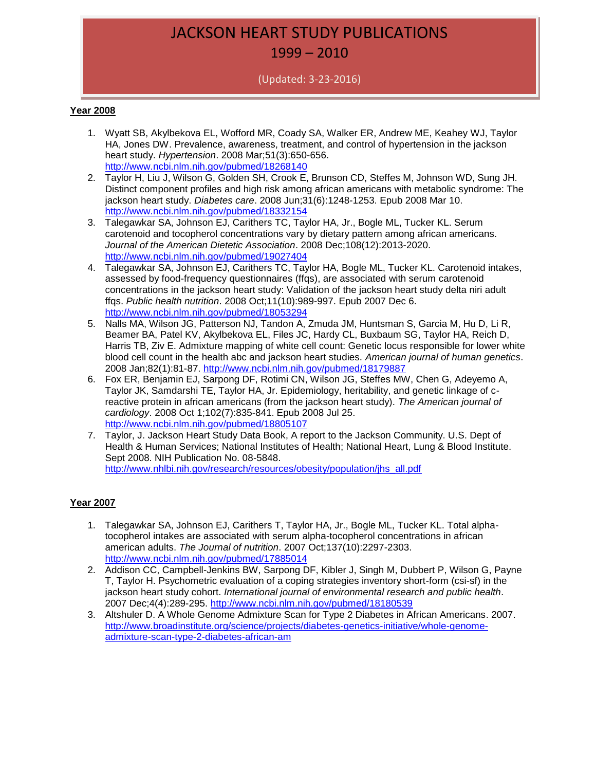## (Updated: 3-23-2016)

#### **Year 2008**

- 1. Wyatt SB, Akylbekova EL, Wofford MR, Coady SA, Walker ER, Andrew ME, Keahey WJ, Taylor HA, Jones DW. Prevalence, awareness, treatment, and control of hypertension in the jackson heart study. *Hypertension*. 2008 Mar;51(3):650-656. <http://www.ncbi.nlm.nih.gov/pubmed/18268140>
- 2. Taylor H, Liu J, Wilson G, Golden SH, Crook E, Brunson CD, Steffes M, Johnson WD, Sung JH. Distinct component profiles and high risk among african americans with metabolic syndrome: The jackson heart study. *Diabetes care*. 2008 Jun;31(6):1248-1253. Epub 2008 Mar 10. <http://www.ncbi.nlm.nih.gov/pubmed/18332154>
- 3. Talegawkar SA, Johnson EJ, Carithers TC, Taylor HA, Jr., Bogle ML, Tucker KL. Serum carotenoid and tocopherol concentrations vary by dietary pattern among african americans. *Journal of the American Dietetic Association*. 2008 Dec;108(12):2013-2020. <http://www.ncbi.nlm.nih.gov/pubmed/19027404>
- 4. Talegawkar SA, Johnson EJ, Carithers TC, Taylor HA, Bogle ML, Tucker KL. Carotenoid intakes, assessed by food-frequency questionnaires (ffqs), are associated with serum carotenoid concentrations in the jackson heart study: Validation of the jackson heart study delta niri adult ffqs. *Public health nutrition*. 2008 Oct;11(10):989-997. Epub 2007 Dec 6. <http://www.ncbi.nlm.nih.gov/pubmed/18053294>
- 5. Nalls MA, Wilson JG, Patterson NJ, Tandon A, Zmuda JM, Huntsman S, Garcia M, Hu D, Li R, Beamer BA, Patel KV, Akylbekova EL, Files JC, Hardy CL, Buxbaum SG, Taylor HA, Reich D, Harris TB, Ziv E. Admixture mapping of white cell count: Genetic locus responsible for lower white blood cell count in the health abc and jackson heart studies. *American journal of human genetics*. 2008 Jan;82(1):81-87.<http://www.ncbi.nlm.nih.gov/pubmed/18179887>
- 6. Fox ER, Benjamin EJ, Sarpong DF, Rotimi CN, Wilson JG, Steffes MW, Chen G, Adeyemo A, Taylor JK, Samdarshi TE, Taylor HA, Jr. Epidemiology, heritability, and genetic linkage of creactive protein in african americans (from the jackson heart study). *The American journal of cardiology*. 2008 Oct 1;102(7):835-841. Epub 2008 Jul 25. <http://www.ncbi.nlm.nih.gov/pubmed/18805107>
- 7. Taylor, J. Jackson Heart Study Data Book, A report to the Jackson Community. U.S. Dept of Health & Human Services; National Institutes of Health; National Heart, Lung & Blood Institute. Sept 2008. NIH Publication No. 08-5848. [http://www.nhlbi.nih.gov/research/resources/obesity/population/jhs\\_all.pdf](http://www.nhlbi.nih.gov/research/resources/obesity/population/jhs_all.pdf)

- 1. Talegawkar SA, Johnson EJ, Carithers T, Taylor HA, Jr., Bogle ML, Tucker KL. Total alphatocopherol intakes are associated with serum alpha-tocopherol concentrations in african american adults. *The Journal of nutrition*. 2007 Oct;137(10):2297-2303. <http://www.ncbi.nlm.nih.gov/pubmed/17885014>
- 2. Addison CC, Campbell-Jenkins BW, Sarpong DF, Kibler J, Singh M, Dubbert P, Wilson G, Payne T, Taylor H. Psychometric evaluation of a coping strategies inventory short-form (csi-sf) in the jackson heart study cohort. *International journal of environmental research and public health*. 2007 Dec;4(4):289-295.<http://www.ncbi.nlm.nih.gov/pubmed/18180539>
- 3. Altshuler D. A Whole Genome Admixture Scan for Type 2 Diabetes in African Americans. 2007. [http://www.broadinstitute.org/science/projects/diabetes-genetics-initiative/whole-genome](http://www.broadinstitute.org/science/projects/diabetes-genetics-initiative/whole-genome-admixture-scan-type-2-diabetes-african-am)[admixture-scan-type-2-diabetes-african-am](http://www.broadinstitute.org/science/projects/diabetes-genetics-initiative/whole-genome-admixture-scan-type-2-diabetes-african-am)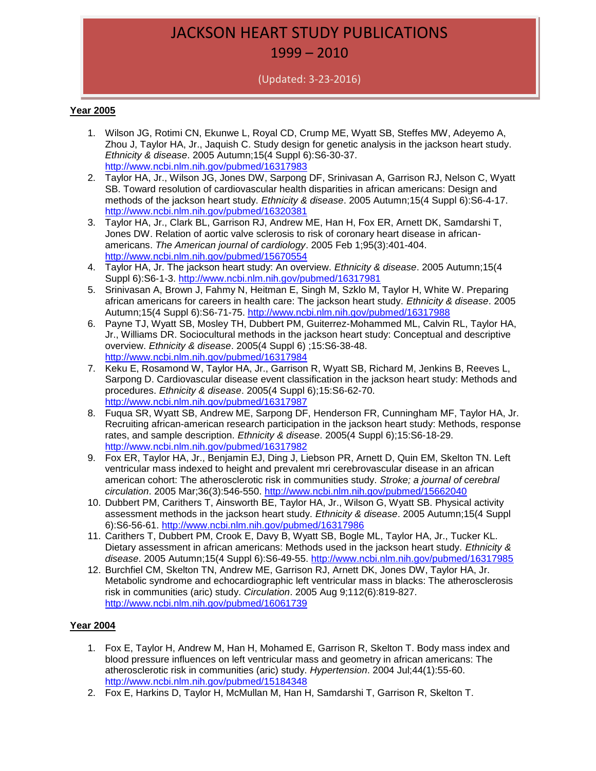## (Updated: 3-23-2016)

#### **Year 2005**

- 1. Wilson JG, Rotimi CN, Ekunwe L, Royal CD, Crump ME, Wyatt SB, Steffes MW, Adeyemo A, Zhou J, Taylor HA, Jr., Jaquish C. Study design for genetic analysis in the jackson heart study. *Ethnicity & disease*. 2005 Autumn;15(4 Suppl 6):S6-30-37. <http://www.ncbi.nlm.nih.gov/pubmed/16317983>
- 2. Taylor HA, Jr., Wilson JG, Jones DW, Sarpong DF, Srinivasan A, Garrison RJ, Nelson C, Wyatt SB. Toward resolution of cardiovascular health disparities in african americans: Design and methods of the jackson heart study. *Ethnicity & disease*. 2005 Autumn;15(4 Suppl 6):S6-4-17. <http://www.ncbi.nlm.nih.gov/pubmed/16320381>
- 3. Taylor HA, Jr., Clark BL, Garrison RJ, Andrew ME, Han H, Fox ER, Arnett DK, Samdarshi T, Jones DW. Relation of aortic valve sclerosis to risk of coronary heart disease in africanamericans. *The American journal of cardiology*. 2005 Feb 1;95(3):401-404. <http://www.ncbi.nlm.nih.gov/pubmed/15670554>
- 4. Taylor HA, Jr. The jackson heart study: An overview. *Ethnicity & disease*. 2005 Autumn;15(4 Suppl 6):S6-1-3.<http://www.ncbi.nlm.nih.gov/pubmed/16317981>
- 5. Srinivasan A, Brown J, Fahmy N, Heitman E, Singh M, Szklo M, Taylor H, White W. Preparing african americans for careers in health care: The jackson heart study. *Ethnicity & disease*. 2005 Autumn;15(4 Suppl 6):S6-71-75.<http://www.ncbi.nlm.nih.gov/pubmed/16317988>
- 6. Payne TJ, Wyatt SB, Mosley TH, Dubbert PM, Guiterrez-Mohammed ML, Calvin RL, Taylor HA, Jr., Williams DR. Sociocultural methods in the jackson heart study: Conceptual and descriptive overview. *Ethnicity & disease*. 2005(4 Suppl 6) ;15:S6-38-48. <http://www.ncbi.nlm.nih.gov/pubmed/16317984>
- 7. Keku E, Rosamond W, Taylor HA, Jr., Garrison R, Wyatt SB, Richard M, Jenkins B, Reeves L, Sarpong D. Cardiovascular disease event classification in the jackson heart study: Methods and procedures. *Ethnicity & disease*. 2005(4 Suppl 6);15:S6-62-70. <http://www.ncbi.nlm.nih.gov/pubmed/16317987>
- 8. Fuqua SR, Wyatt SB, Andrew ME, Sarpong DF, Henderson FR, Cunningham MF, Taylor HA, Jr. Recruiting african-american research participation in the jackson heart study: Methods, response rates, and sample description. *Ethnicity & disease*. 2005(4 Suppl 6);15:S6-18-29. <http://www.ncbi.nlm.nih.gov/pubmed/16317982>
- 9. Fox ER, Taylor HA, Jr., Benjamin EJ, Ding J, Liebson PR, Arnett D, Quin EM, Skelton TN. Left ventricular mass indexed to height and prevalent mri cerebrovascular disease in an african american cohort: The atherosclerotic risk in communities study. *Stroke; a journal of cerebral circulation*. 2005 Mar;36(3):546-550.<http://www.ncbi.nlm.nih.gov/pubmed/15662040>
- 10. Dubbert PM, Carithers T, Ainsworth BE, Taylor HA, Jr., Wilson G, Wyatt SB. Physical activity assessment methods in the jackson heart study. *Ethnicity & disease*. 2005 Autumn;15(4 Suppl 6):S6-56-61.<http://www.ncbi.nlm.nih.gov/pubmed/16317986>
- 11. Carithers T, Dubbert PM, Crook E, Davy B, Wyatt SB, Bogle ML, Taylor HA, Jr., Tucker KL. Dietary assessment in african americans: Methods used in the jackson heart study. *Ethnicity & disease*. 2005 Autumn;15(4 Suppl 6):S6-49-55.<http://www.ncbi.nlm.nih.gov/pubmed/16317985>
- 12. Burchfiel CM, Skelton TN, Andrew ME, Garrison RJ, Arnett DK, Jones DW, Taylor HA, Jr. Metabolic syndrome and echocardiographic left ventricular mass in blacks: The atherosclerosis risk in communities (aric) study. *Circulation*. 2005 Aug 9;112(6):819-827. <http://www.ncbi.nlm.nih.gov/pubmed/16061739>

- 1. Fox E, Taylor H, Andrew M, Han H, Mohamed E, Garrison R, Skelton T. Body mass index and blood pressure influences on left ventricular mass and geometry in african americans: The atherosclerotic risk in communities (aric) study. *Hypertension*. 2004 Jul;44(1):55-60. <http://www.ncbi.nlm.nih.gov/pubmed/15184348>
- 2. Fox E, Harkins D, Taylor H, McMullan M, Han H, Samdarshi T, Garrison R, Skelton T.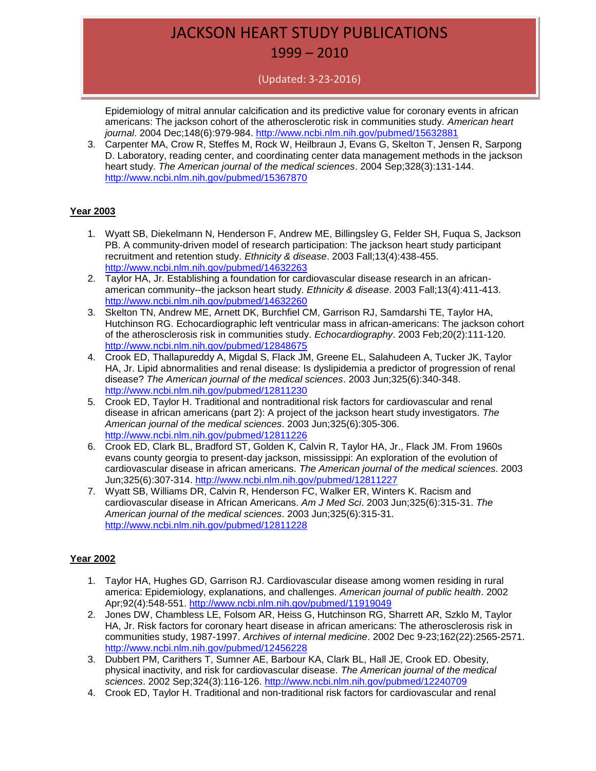(Updated: 3-23-2016)

Epidemiology of mitral annular calcification and its predictive value for coronary events in african americans: The jackson cohort of the atherosclerotic risk in communities study. *American heart journal*. 2004 Dec;148(6):979-984.<http://www.ncbi.nlm.nih.gov/pubmed/15632881>

3. Carpenter MA, Crow R, Steffes M, Rock W, Heilbraun J, Evans G, Skelton T, Jensen R, Sarpong D. Laboratory, reading center, and coordinating center data management methods in the jackson heart study. *The American journal of the medical sciences*. 2004 Sep;328(3):131-144. <http://www.ncbi.nlm.nih.gov/pubmed/15367870>

## **Year 2003**

- 1. Wyatt SB, Diekelmann N, Henderson F, Andrew ME, Billingsley G, Felder SH, Fuqua S, Jackson PB. A community-driven model of research participation: The jackson heart study participant recruitment and retention study. *Ethnicity & disease*. 2003 Fall;13(4):438-455. <http://www.ncbi.nlm.nih.gov/pubmed/14632263>
- 2. Taylor HA, Jr. Establishing a foundation for cardiovascular disease research in an africanamerican community--the jackson heart study. *Ethnicity & disease*. 2003 Fall;13(4):411-413. <http://www.ncbi.nlm.nih.gov/pubmed/14632260>
- 3. Skelton TN, Andrew ME, Arnett DK, Burchfiel CM, Garrison RJ, Samdarshi TE, Taylor HA, Hutchinson RG. Echocardiographic left ventricular mass in african-americans: The jackson cohort of the atherosclerosis risk in communities study. *Echocardiography*. 2003 Feb;20(2):111-120. <http://www.ncbi.nlm.nih.gov/pubmed/12848675>
- 4. Crook ED, Thallapureddy A, Migdal S, Flack JM, Greene EL, Salahudeen A, Tucker JK, Taylor HA, Jr. Lipid abnormalities and renal disease: Is dyslipidemia a predictor of progression of renal disease? *The American journal of the medical sciences*. 2003 Jun;325(6):340-348. <http://www.ncbi.nlm.nih.gov/pubmed/12811230>
- 5. Crook ED, Taylor H. Traditional and nontraditional risk factors for cardiovascular and renal disease in african americans (part 2): A project of the jackson heart study investigators. *The American journal of the medical sciences*. 2003 Jun;325(6):305-306. <http://www.ncbi.nlm.nih.gov/pubmed/12811226>
- 6. Crook ED, Clark BL, Bradford ST, Golden K, Calvin R, Taylor HA, Jr., Flack JM. From 1960s evans county georgia to present-day jackson, mississippi: An exploration of the evolution of cardiovascular disease in african americans. *The American journal of the medical sciences*. 2003 Jun;325(6):307-314.<http://www.ncbi.nlm.nih.gov/pubmed/12811227>
- 7. Wyatt SB, Williams DR, Calvin R, Henderson FC, Walker ER, Winters K. Racism and cardiovascular disease in African Americans. *Am J Med Sci*. 2003 Jun;325(6):315-31. *The American journal of the medical sciences*. 2003 Jun;325(6):315-31. <http://www.ncbi.nlm.nih.gov/pubmed/12811228>

- 1. Taylor HA, Hughes GD, Garrison RJ. Cardiovascular disease among women residing in rural america: Epidemiology, explanations, and challenges. *American journal of public health*. 2002 Apr;92(4):548-551.<http://www.ncbi.nlm.nih.gov/pubmed/11919049>
- 2. Jones DW, Chambless LE, Folsom AR, Heiss G, Hutchinson RG, Sharrett AR, Szklo M, Taylor HA, Jr. Risk factors for coronary heart disease in african americans: The atherosclerosis risk in communities study, 1987-1997. *Archives of internal medicine*. 2002 Dec 9-23;162(22):2565-2571. <http://www.ncbi.nlm.nih.gov/pubmed/12456228>
- 3. Dubbert PM, Carithers T, Sumner AE, Barbour KA, Clark BL, Hall JE, Crook ED. Obesity, physical inactivity, and risk for cardiovascular disease. *The American journal of the medical sciences*. 2002 Sep;324(3):116-126.<http://www.ncbi.nlm.nih.gov/pubmed/12240709>
- 4. Crook ED, Taylor H. Traditional and non-traditional risk factors for cardiovascular and renal